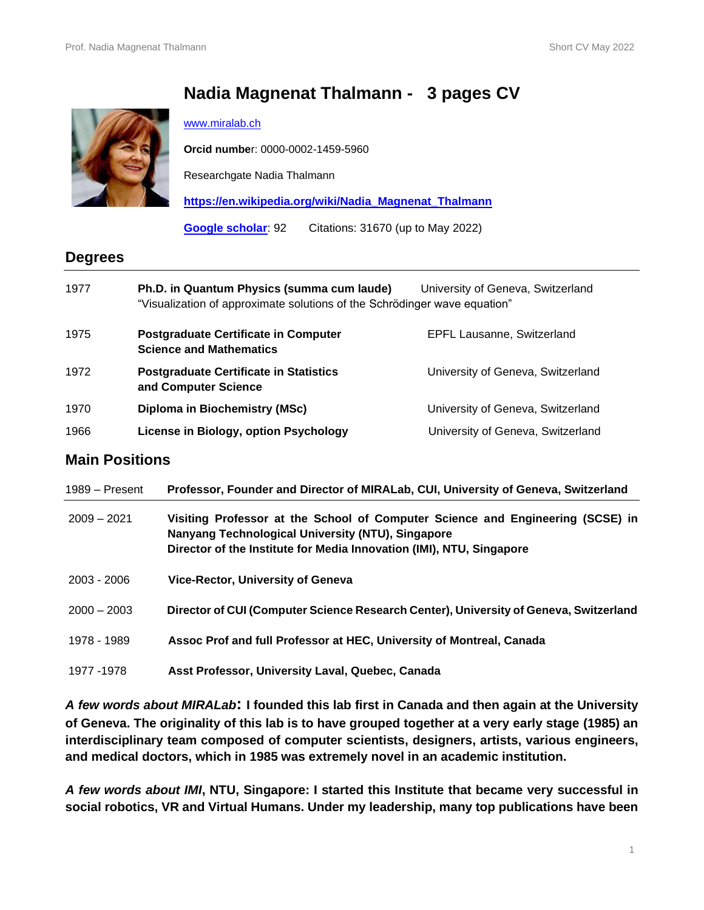# **Nadia Magnenat Thalmann - 3 pages CV**



#### [www.miralab.ch](http://www.miralab.ch/)

**Orcid numbe**r: 0000-0002-1459-5960

Researchgate Nadia Thalmann

**[https://en.wikipedia.org/wiki/Nadia\\_Magnenat\\_Thalmann](https://en.wikipedia.org/wiki/Nadia_Magnenat_Thalmann)**

**[Google scholar](https://scholar.google.com/citations?user=zSucrdMAAAAJ&hl=en)**: 92 Citations: 31670 (up to May 2022)

## **Degrees**

| 1977 | Ph.D. in Quantum Physics (summa cum laude)<br>"Visualization of approximate solutions of the Schrödinger wave equation" | University of Geneva, Switzerland |
|------|-------------------------------------------------------------------------------------------------------------------------|-----------------------------------|
| 1975 | <b>Postgraduate Certificate in Computer</b><br><b>Science and Mathematics</b>                                           | <b>EPFL Lausanne, Switzerland</b> |
| 1972 | <b>Postgraduate Certificate in Statistics</b><br>and Computer Science                                                   | University of Geneva, Switzerland |
| 1970 | Diploma in Biochemistry (MSc)                                                                                           | University of Geneva, Switzerland |
| 1966 | License in Biology, option Psychology                                                                                   | University of Geneva, Switzerland |

### **Main Positions**

| 1989 – Present | Professor, Founder and Director of MIRALab, CUI, University of Geneva, Switzerland                                                                                                                          |  |
|----------------|-------------------------------------------------------------------------------------------------------------------------------------------------------------------------------------------------------------|--|
| $2009 - 2021$  | Visiting Professor at the School of Computer Science and Engineering (SCSE) in<br>Nanyang Technological University (NTU), Singapore<br>Director of the Institute for Media Innovation (IMI), NTU, Singapore |  |
| $2003 - 2006$  | <b>Vice-Rector, University of Geneva</b>                                                                                                                                                                    |  |
| $2000 - 2003$  | Director of CUI (Computer Science Research Center), University of Geneva, Switzerland                                                                                                                       |  |
| 1978 - 1989    | Assoc Prof and full Professor at HEC, University of Montreal, Canada                                                                                                                                        |  |
| 1977 - 1978    | Asst Professor, University Laval, Quebec, Canada                                                                                                                                                            |  |

*A few words about MIRALab***: I founded this lab first in Canada and then again at the University of Geneva. The originality of this lab is to have grouped together at a very early stage (1985) an interdisciplinary team composed of computer scientists, designers, artists, various engineers, and medical doctors, which in 1985 was extremely novel in an academic institution.**

*A few words about IMI***, NTU, Singapore: I started this Institute that became very successful in social robotics, VR and Virtual Humans. Under my leadership, many top publications have been**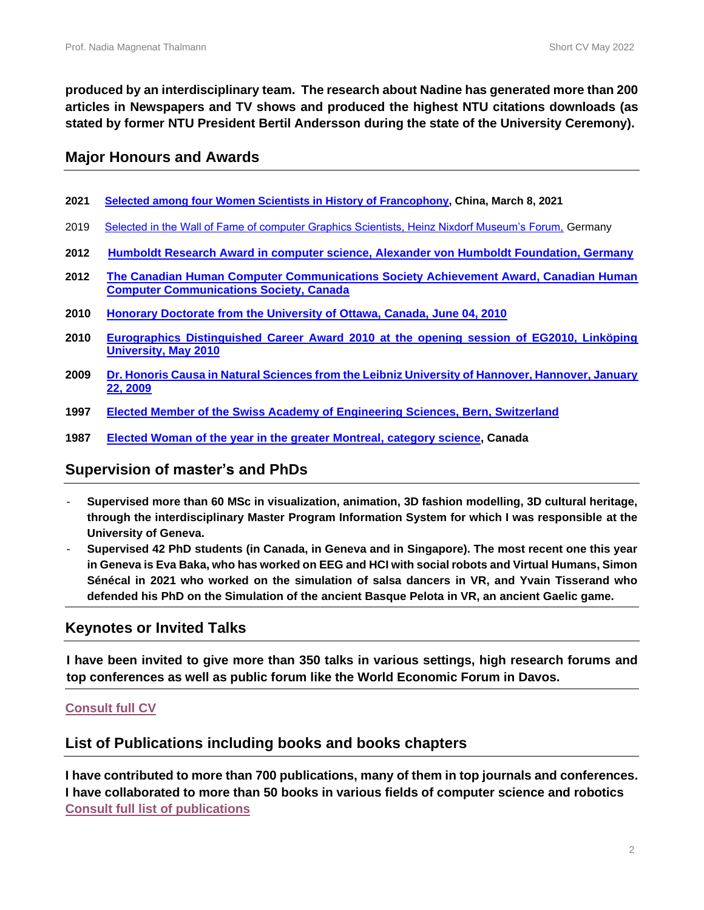**produced by an interdisciplinary team. The research about Nadine has generated more than 200 articles in Newspapers and TV shows and produced the highest NTU citations downloads (as stated by former NTU President Bertil Andersson during the state of the University Ceremony).**

### **Major Honours and Awards**

- **2021 [Selected among four Women Scientists in History of Francophony,](https://mp.weixin.qq.com/s/Ywsu3d0saKLJTYbWt-iNjw) China, March 8, 2021**
- 2019 [Selected in the Wall of Fame of computer Graphics Scientists, Heinz Nixdorf Museum's Forum,](https://www.hnf.de/en/permanent-exhibition/exhibition-areas/wall-of-fame-pioneers-of-the-digital-world/members-of-the-wall-of-fame.html) Germany
- **2012 Humboldt Research Award in computer science, [Alexander von Humboldt Foundation, Germany](https://www.research-in-germany.org/en/research-funding/funding-programmes/avh-humboldt-research-award.html)**
- **2012 [The Canadian Human Computer Communications Society Achievement Award, Canadian Human](https://graphicsinterface.org/awards/chccs-scdhm-achievement/nadia-magnenat-thalmann/)  [Computer Communications Society, Canada](https://graphicsinterface.org/awards/chccs-scdhm-achievement/nadia-magnenat-thalmann/)**
- **2010 [Honorary Doctorate from the University of Ottawa, Canada, June 04, 2010](https://www.uottawa.ca/president/people/magnenat-thalmann-nadia)**
- **2010 [Eurographics Distinguished Career Award 2010 at the opening session of EG2010, Linköping](https://www.eg.org/wp/eurographics-awards-programme/the-distinguished-career-award/distinguished-career-award-2010-nadiamagnenat-thalmann/)  [University, May 2010](https://www.eg.org/wp/eurographics-awards-programme/the-distinguished-career-award/distinguished-career-award-2010-nadiamagnenat-thalmann/)**
- **2009 [Dr. Honoris Causa in Natural Sciences from the Leibniz University of Hannover, Hannover, January](https://www.uni-hannover.de/de/universitaet/profil/ehrungen/von-der-leibniz-universitaet-verliehene-auszeichnungen/ehrendoktoren/)  [22, 2009](https://www.uni-hannover.de/de/universitaet/profil/ehrungen/von-der-leibniz-universitaet-verliehene-auszeichnungen/ehrendoktoren/)**
- **1997 [Elected Member of the Swiss Academy of Engineering Sciences, Bern, Switzerland](https://www.satw.ch/en/ueber-satw/members)**
- **1987 [Elected Woman of the year in the greater Montreal, category science,](http://www.miralab.ch/wp-content/uploads/2022/05/Femme-de-lannee-1987.pdf) Canada**

### **Supervision of master's and PhDs**

- **Supervised more than 60 MSc in visualization, animation, 3D fashion modelling, 3D cultural heritage, through the interdisciplinary Master Program Information System for which I was responsible at the University of Geneva.**
- **Supervised 42 PhD students (in Canada, in Geneva and in Singapore). The most recent one this year in Geneva is Eva Baka, who has worked on EEG and HCI with social robots and Virtual Humans, Simon Sénécal in 2021 who worked on the simulation of salsa dancers in VR, and Yvain Tisserand who defended his PhD on the Simulation of the ancient Basque Pelota in VR, an ancient Gaelic game.**

### **Keynotes or Invited Talks**

**I have been invited to give more than 350 talks in various settings, high research forums and top conferences as well as public forum like the World Economic Forum in Davos.**

### **[Consult full CV](https://www.dropbox.com/home/nadia-nedjma?preview=Full_CV_NMT.docx)**

### **List of Publications including books and books chapters**

**I have contributed to more than 700 publications, many of them in top journals and conferences. I have collaborated to more than 50 books in various fields of computer science and robotics [Consult full list of publications](http://www.miralab.ch/wp-content/uploads/2022/05/NMT_Publications_All..pdf)**